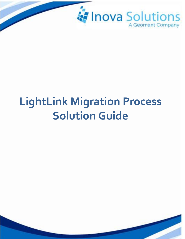

# **LightLink Migration Process Solution Guide**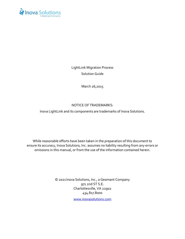

LightLink Migration Process Solution Guide

March 26,2015

#### NOTICE OF TRADEMARKS:

Inova LightLink and its components are trademarks of Inova Solutions.

While reasonable efforts have been taken in the preparation of this document to ensure its accuracy, Inova Solutions, Inc. assumes no liability resulting from any errors or omissions in this manual, or from the use of the information contained herein.

> © 2021 Inova Solutions, Inc., a Geomant Company 971 2nd ST S.E. Charlottesville, VA 22902 434.817.8000

> > [www.inovasolutions.com](http://www.inovasolutions.com/)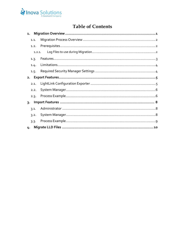

## **Table of Contents**

| 1.   |        |  |
|------|--------|--|
| 1.1. |        |  |
| 1.2. |        |  |
|      | 1.2.1. |  |
| 1.3. |        |  |
| 1.4. |        |  |
| 1.5. |        |  |
| 2.   |        |  |
| 2.1. |        |  |
| 2.2. |        |  |
| 2.3. |        |  |
| 3.   |        |  |
| 3.1. |        |  |
| 3.2. |        |  |
| 3.3. |        |  |
| 4.   |        |  |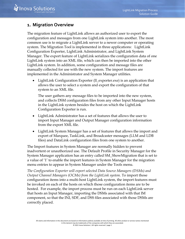## <span id="page-3-0"></span>**1. Migration Overview**

The migration feature of LightLink allows an authorized user to export the configuration and messages from one LightLink system into another. The most common use is to migrate a LightLink server to a newer computer or operating system. The Migration Tool is implemented in three applications: LightLink Configuration Exporter, LightLink Administrator, and LightLink System Manager. The export feature of LightLink serializes the configuration data of one LightLink system into an XML file, which can then be imported into the other LightLink system. In addition, some configuration and message files are manually collected for use with the new system. The import features are implemented in the Administrator and System Manager utilities.

• LightLink Configuration Exporter (II\_exporter.exe) is an application that allows the user to select a system and export the configuration of that system to an XML file.

The user gathers any message files to be imported into the new system, and collects DSM configuration files from any other Input Manager hosts in the LightLink system besides the host on which the LightLink Configuration Exporter is run.

- LightLink Administrator has a set of features that allows the user to import Input Manager and Output Manager configuration information from the export XML file.
- LightLink System Manager has a set of features that allows the import and export of Marquee, TaskLink, and Broadcaster messages (LLM and LDB files) and DataLink configuration files from one system to another.

The Import features in System Manager are normally hidden to prevent inadvertent or unauthorized use. The Default Profile in Security Manager for the System Manager application has an entry called SM\_ShowMigration that is set to a value of '1' to enable the import features in System Manager for the migration menu entries to appear in System Manager under the Tools menu.

*The Configuration Exporter will export selected Data Source Managers (DSMs) and Output Channel Managers (OCMs) from the LightLink system.* To import those configuration items into a multi-host LightLink system, the import features must be invoked on each of the hosts on which those configuration items are to be hosted. For example, the import process must be run on each LightLink server that hosts an Input Manager, importing the DSMs associated with that IM component, so that the INI, SDF, and DSS files associated with those DSMs are correctly placed.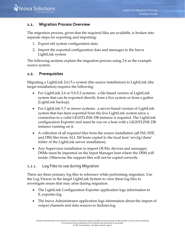## <span id="page-4-0"></span>**1.1. Migration Process Overview**

The migration process, given that the required files are available, is broken into separate steps for exporting and importing:

- 1. Export old system configuration data
- 2. Import the exported configuration data and messages to the Inova LightLink system

The following sections explain the migration process using 2.6 as the example source system.

#### <span id="page-4-1"></span>**1.2. Prerequisites**

Migrating a LightLink 2.6/5.x system (the source installation) to LightLink (the target installation) requires the following:

- For LightLink 2.6 or 5.0-5.2 systems: a file-based version of LightLink system that can be exported directly from a live system or from a gather (LightLink backup).
- For LightLink 5.7 or newer systems: a server-based version of LightLink system that has been exported from the live LightLink system since a connection to a valid LIGHTLINK DB instance is required. The LightLink configuration Exporter tool must be run on a host with a LIGHTLINK DB instance running on it.
- A collection of all required files from the source installation (all INI, SDF, and DSS files from ALL IM hosts copied to the local host 'srvcfg/dsms' folder of the LightLink server installation).
- Any Supervisor installation to import OCMs, devices and messages; DSMs must be imported on the Input Manager host where the DSM will reside. Otherwise the support files will not be copied correctly.

#### <span id="page-4-2"></span>1.2.1. Log Files to use during Migration

There are three primary log files to reference while performing migration. Use the Log Viewer in the target LightLink System to view these log files to investigate issues that may arise during migration.

- The LightLink Configuration Exporter application logs information to ll\_exporter.log.
- The Inova Administrator application logs information about the import of output channels and data sources to lladmin.log.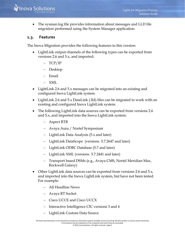

• The sysman.log file provides information about messages and LLD file migration performed using the System Manager application.

## <span id="page-5-0"></span>**1.3. Features**

The Inova Migration provides the following features in this version:

- LightLink output channels of the following types can be exported from versions 2.6 and 5.x, and imported:
	- − TCP/IP
	- − Desktop
	- − Email
	- − XML
- LightLink 2.6 and 5.x messages can be migrated into an existing and configured Inova LightLink system.
- LightLink 2.6 and 5.x DataLink (.lld) files can be migrated to work with an existing and configured Inova LightLink system.
- The following LightLink data sources can be exported from versions 2.6 and 5.x, and imported into the Inova LightLink system:
	- − Aspect RTB
	- − Avaya Aura / Nortel Symposium
	- − LightLink Data Analysis (5.x and later)
	- − LightLink DataScope (versions 5.7.2647 and later)
	- − LightLink ODBC Database (5.7 and later)
	- − LightLink XML (versions 5.7.2441 and later)
	- − Transport based DSMs (e.g., Avaya CMS, Nortel Meridian Max, Rockwell Galaxy)
- Other LightLink data sources can be exported from versions 2.6 and 5.x, and imported into the Inova LightLink system, but have not been tested. For example:
	- − All Headline News
	- − Avaya RT Socket
	- − Cisco UCCE and Cisco UCCX
	- − Interactive Intelligence CIC versions 3 and 4
	- − LightLink Custom Data Source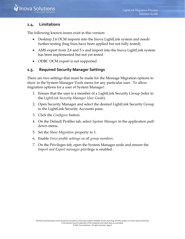## <span id="page-6-0"></span>**1.4. Limitations**

The following known issues exist in this version:

- Desktop 2.6 OCM imports into the Inova LightLink system and needs further testing (bug fixes have been applied but not fully tested)
- AMS export from 2.6 and 5.x and import into the Inova LightLink system has been implemented but not yet tested
- ODBC OCM export is not supported

### <span id="page-6-1"></span>**1.5. Required Security Manager Settings**

There are two settings that must be made for the Message Migration options to show in the System Manager Tools menu for any particular user. To allow migration options for a user of System Manager:

- 1. Ensure that the user is a member of a LightLink Security Group (refer to the *LightLink Security Manager User Guide*).
- 2. Open Security Manager and select the desired LightLink Security Group in the LightLink Security Accounts pane.
- 3. Click the *Configure* button.
- 4. On the Default Profiles tab, select *System Manager* in the application pulldown menu.
- 5. Set the *Show Migration* property to 1.
- 6. Enable *Force profile settings on all group members*.
- 7. On the Privileges tab, open the System Manager node and ensure the *Import and Export messages* privilege is enabled.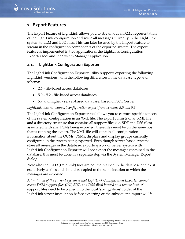## <span id="page-7-0"></span>**2. Export Features**

The Export feature of LightLink allows you to stream out an XML representation of the LightLink configuration and write all messages currently in the LightLink system to LLM and LBD files. This can later be used by the Import feature to stream in the configuration components of the exported system. The export feature is implemented in two applications: the LightLink Configuration Exporter tool and the System Manager application.

## <span id="page-7-1"></span>**2.1. LightLink Configuration Exporter**

The LightLink Configuration Exporter utility supports exporting the following LightLink versions, with the following differences in the database type and schema:

- 2.6 file-based access databases
- 5.0 5.2 file-based access databases
- 5.7 and higher server-based database, based on SQL Server

## *LightLink does not support configuration export from versions 5.5 and 5.6.*

The LightLink Configuration Exporter tool allows you to capture specific aspects of the system configuration in an XML file. The export consists of an XML file and a directory structure that contains all support files (i.e. SDF and DSS files) associated with any DSMs being exported; these files must be on the same host that is running the export. The XML file will contain all configuration information about the OCMs, DSMs, displays and display groups currently configured in the system being exported. Even though server-based systems store all messages in the database, exporting a 5.7 or newer system with LightLink Configuration Exporter will not export the messages contained in the database; this must be done in a separate step via the System Manager Export dialog.

Note also that LLD (DataLink) files are not maintained in the database and exist exclusively as files and should be copied to the same location to which the messages are exported.

*A limitation of the current system is that LightLink Configuration Exporter cannot access DSM support files (INI, SDF, and DSS files) located on a remote host.* All support files need to be copied into the local 'srvcfg/dsms' folder of the LightLink server installation before exporting or the subsequent import will fail.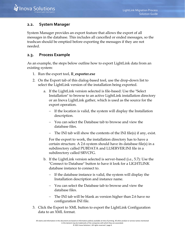## <span id="page-8-0"></span>**2.2. System Manager**

System Manager provides an export feature that allows the export of all messages in the database. This includes all cancelled or ended messages, so the trashcan should be emptied before exporting the messages if they are not needed.

### <span id="page-8-1"></span>**2.3. Process Example**

As an example, the steps below outline how to export LightLink data from an existing system:

- 1. Run the export tool, **ll\_exporter.exe**
- 2. On the Export tab of this dialog-based tool, use the drop-down list to select the LightLink version of the installation being exported.
	- a. If the LightLink version selected is file-based: Use the "Select Installation" to browse to an active LightLink installation directory or an Inova LightLink gather, which is used as the source for the export operation.
		- − If the location is valid, the system will display the Installation description.
		- − You can select the Database tab to browse and view the database files.
		- The INI tab will show the contents of the INI file(s) if any, exist.

For the export to work, the installation directory has to have a certain structure. A 2.6 system should have its database file(s) in a subdirectory called PUBDATA and LLSERVER.INI file in a subdirectory called SRVCFG.

- b. If the LightLink version selected is server-based (i.e., 5.7): Use the "Connect to Database" button to have it look for a LIGHTLINK database instance to connect to.
	- If the database instance is valid, the system will display the Installation description and instance name.
	- − You can select the Database tab to browse and view the database files.
	- The INI tab will be blank as version higher than 2.6 have no configuration INI file.
- 3. Click the Export to XML button to export the LightLink Configuration data to an XML format.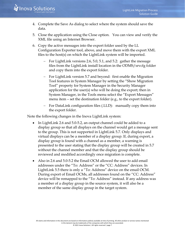- 4. Complete the Save As dialog to select where the system should save the data.
- 5. Close the application using the Close option. You can view and verify the XML file using an Internet Browser.
- 6. Copy the active messages into the export folder used by the LL Configuration Exporter tool, above, and move them with the export XML files to the host(s) on which the LightLink system will be imported.
	- − For LightLink versions 2.6, 5.0, 5.1, and 5.2: gather the message files from the LightLink install location in the ODMS/srvcfg folder and copy them into the export folder.
	- For LightLink version 5.7 and beyond: first enable the Migration Tool features in System Manager by setting the "Show Migration Tool" property for System Manager in the Security Manager application for the user(s) who will be doing the export; then in System Manager, in the Tools menu select the "Export Messages" menu item – set the destination folder (e.g., to the export folder).
	- − For DataLink configuration files (.LLD): manually copy them into the export folder.

Note the following changes in the Inova LightLink system:

- In LightLink 2.6 and 5.0-5.2, an output channel could be added to a display group so that all displays on the channel would get a message sent to the group. This is not supported in LightLink 5.7. Only displays and virtual displays can be a member of a display group. If, during export, a display group is found with a channel as a member, a warning is presented to the user stating that the display group will be created in 5.7 without the channel member and that the display group should be reviewed and modified accordingly once migration is complete.
- Also in 2.6 and 5.0-5.2 the Email OCM allowed the user to add email addresses under the "To: Address" or the "CC: Address" devices. In LightLink 5.5 there is only a "To: Address" device on the email OCM. During export of Email OCMs, all addresses found on the "CC: Address" device will be remapped to the "To: Address" instead. If any address was a member of a display group in the source system, it will also be a member of the same display group in the target system.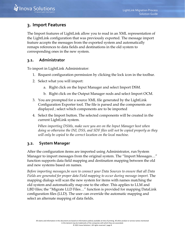## <span id="page-10-0"></span>**3. Import Features**

The Import features of LightLink allow you to read in an XML representation of the LightLink configuration that was previously exported. The message import feature accepts the messages from the exported system and automatically remaps references to data fields and destinations in the old system to corresponding ones in the new system.

## <span id="page-10-1"></span>**3.1. Administrator**

To import in LightLink Administrator:

- 1. Request configuration permission by clicking the lock icon in the toolbar.
- 2. Select what you will import:
	- a. Right click on the Input Manager and select Import DSM.
	- b. Right click on the Output Manager nods and select Import OCM.
- 3. You are prompted for a source XML file generated by the LightLink Configuration Exporter tool. The file is parsed and the components are displayed ; select which components are to be imported
- 4. Select the Import button. The selected components will be created in the current LightLink system.

*When importing DSMs, make sure you are on the Input Manager host when doing so otherwise the INI, DSS, and SDF files will not be copied properly as they will only be copied to the correct location on the local machine.* 

## <span id="page-10-2"></span>**3.2. System Manager**

After the configuration items are imported using Administrator, run System Manager to import messages from the original system. The "Import Messages…" function supports data field mapping and destination mapping between the old and new systems based on names.

*Before importing messages,be sure to connect your Data Sources to ensure that all Data Fields are generated for proper data Field mapping to occur during message import.* The mapping dialogs will scan the new system for items with names matching the old system and automatically map one to the other. This applies to LLM and LBD files; the "Migrate LLD Files…" function is provided for mapping DataLink configuration files (LLD). The user can override the automatic mapping and select an alternate mapping of data fields.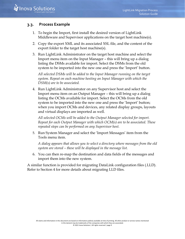## <span id="page-11-0"></span>**3.3. Process Example**

- 1. To begin the Import, first install the desired version of LightLink Middleware and Supervisor applications on the target host machine(s).
- 2. Copy the export XML and its associated XSL file, and the content of the export folder to the target host machine(s).
- 3. Run LightLink Administrator on the target host machine and select the Import menu item on the Input Manager – this will bring up a dialog listing the DSMs available for import. Select the DSMs from the old system to be imported into the new one and press the 'Import' button.

*All selected DSMs will be added to the Input Manager running on the target system. Repeat on each machine hosting an Input Manager with which the DSM(s) are to be associated.* 

4. Run LightLink Administrator on any Supervisor host and select the Import menu item on an Output Manager – this will bring up a dialog listing the OCMs available for import. Select the OCMs from the old system to be imported into the new one and press the 'Import' button; when you import OCMs and devices, any related display groups, layouts and virtual displays are imported as well.

*All selected OCMs will be added to the Output Manager selected for import. Repeat for each Output Manager with which OCM(s) are to be associated. These repeated steps can be performed on any Supervisor host.* 

5. Run System Manager and select the 'Import Messages' item from the Tools menu item.

*A dialog appears that allows you to select a directory where messages from the old system are stored – these will be displayed in the message list.* 

6. You can then re-map the destination and data fields of the messages and import them into the new system.

A similar function is provided for migrating DataLink configuration files (.LLD). Refer to Section 4 for more details about migrating LLD files.